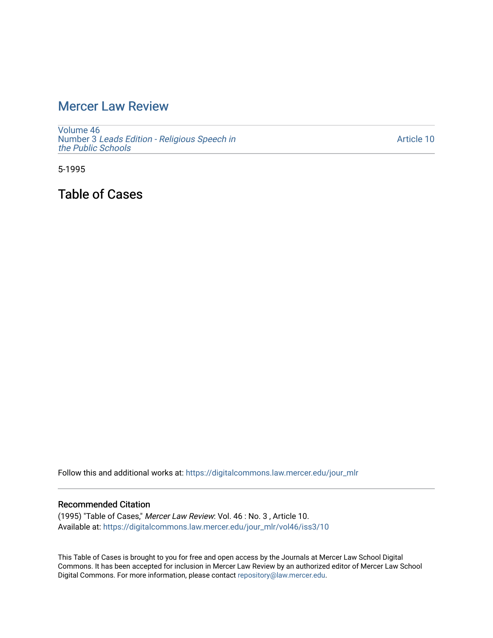## [Mercer Law Review](https://digitalcommons.law.mercer.edu/jour_mlr)

[Volume 46](https://digitalcommons.law.mercer.edu/jour_mlr/vol46) Number 3 [Leads Edition - Religious Speech in](https://digitalcommons.law.mercer.edu/jour_mlr/vol46/iss3) [the Public Schools](https://digitalcommons.law.mercer.edu/jour_mlr/vol46/iss3)

[Article 10](https://digitalcommons.law.mercer.edu/jour_mlr/vol46/iss3/10) 

5-1995

Table of Cases

Follow this and additional works at: [https://digitalcommons.law.mercer.edu/jour\\_mlr](https://digitalcommons.law.mercer.edu/jour_mlr?utm_source=digitalcommons.law.mercer.edu%2Fjour_mlr%2Fvol46%2Fiss3%2F10&utm_medium=PDF&utm_campaign=PDFCoverPages)

## Recommended Citation

(1995) "Table of Cases," Mercer Law Review: Vol. 46 : No. 3 , Article 10. Available at: [https://digitalcommons.law.mercer.edu/jour\\_mlr/vol46/iss3/10](https://digitalcommons.law.mercer.edu/jour_mlr/vol46/iss3/10?utm_source=digitalcommons.law.mercer.edu%2Fjour_mlr%2Fvol46%2Fiss3%2F10&utm_medium=PDF&utm_campaign=PDFCoverPages) 

This Table of Cases is brought to you for free and open access by the Journals at Mercer Law School Digital Commons. It has been accepted for inclusion in Mercer Law Review by an authorized editor of Mercer Law School Digital Commons. For more information, please contact [repository@law.mercer.edu](mailto:repository@law.mercer.edu).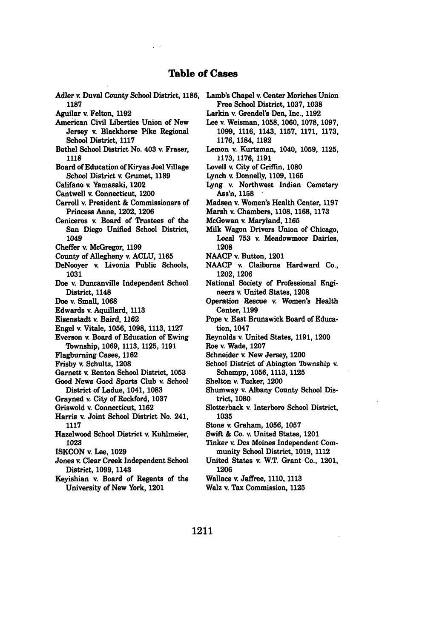## **Table of Cases**

- Adler v. Duval County School District, **1186, Lamb's** Chapel v. Center Moriches Union **1187**
- Aguilar v Felton, **1192**
- American Civil Liberties Union of New Jersey v. Blackhorse Pike Regional School District, 1117
- Bethel School District No. 403 v. Fraser, **1118**
- Board of Education of Kiryas Joel Village School District v. Grumet, 1189
- Califano v. Yamasaki, 1202
- Cantwell v. Connecticut, 1200
- Carroll v. President & Commissioners of Princess Anne, 1202, **1206**
- Ceniceros v. Board of Trustees of the San Diego Unified School District, 1049
- Cheffer **v.** McGregor, **1199**
- County of Allegheny v. **ACLU, 1165**
- DeNooyer v. Livonia Public Schools, **1031**
- Doe v. Duncanville Independent School District, 1148
- Doe **v.** Small, **1068**
- Edwards v. Aquillard, **1113**
- Eisenstadt v. Baird, **1162**
- Engel v. Vitale, **1056, 1098, 1113, 1127**
- Everson *v.* Board of Education of Ewing Township, **1069, 1113, 1125, 1191**
- Flagburning Cases, **1162**
- Frisby **v.** Schultz, **1208**
- Garnett v. Renton School District, **1053**
- Good News Good Sports Club v. School District of Ladue, 1041, **1083**
- Grayned **v** City of Rockford, **1037**
- Griswold **v.** Connecticut, **1162**
- Harris v. Joint School District No. 241, **1117**
- Hazelwood School District v. Kuhlmeier, **1023**
- **ISKCON v.** Lee, **1029**
- Jones v. Clear Creek Independent School District, **1099,** 1143
- Keyishian v. Board of Regents of the University of New York, 1201
- Free School District, **1037, 1038**
- Larkin v. Grendel's Den, Inc., **1192**
- Lee **v.** Weisman, **1058, 1060, 1078, 1097, 1099, 1116,** 1143, **1157, 1171, 1173, 1176, 1184, 1192**
- Lemon v. Kurtzman, 1040, **1059, 1125, 1173, 1176, 1191**
- Lovell v. City of Griffin, **1080**
- Lynch v. Donnelly, **1109, 1165**
- Lyng **v.** Northwest Indian Cemetery Ass'n, **1158**
- Madsen v. Women's Health Center, 1197
- Marsh v. Chambers, 1108, **1168,** 1173
- McGowan **v.** Maryland, **1165**
- Milk Wagon Drivers Union of Chicago, Local 753 v. Meadowmoor Dairies, 1208
- **NAACP** v. Button, 1201
- **NAACP** v. Claiborne Hardward Co., **1202, 1206**
- National Society of Professional Engineers v. United States, **1208**
- Operation Rescue **v.** Women's Health Center, **1199**
- Pope **v.** East Brunswick Board of Education, 1047
- Reynolds v. United States, **1191,** 1200
- Roe **v.** Wade, **1207**
- Schneider v. New Jersey, 1200
- School District of Abington Twnship v. Schempp, **1056, 1113, 1125**
- Shelton v. Tucker, 1200
- Shumway v. Albany County School District, **1080**
- Slotterback v. Interboro School District, **1035**
- Stone **v.** Graham, **1056, 1057**
- Swift **& Co. v** United States, 1201
- Tinker v. Des Moines Independent Community School District, **1019,** 1112
- United States v. W.T. Grant Co., 1201, **1206**
- Wallace v. Jaffree, **1110, 1113**
- Walz v. Tax Commission, **1125**